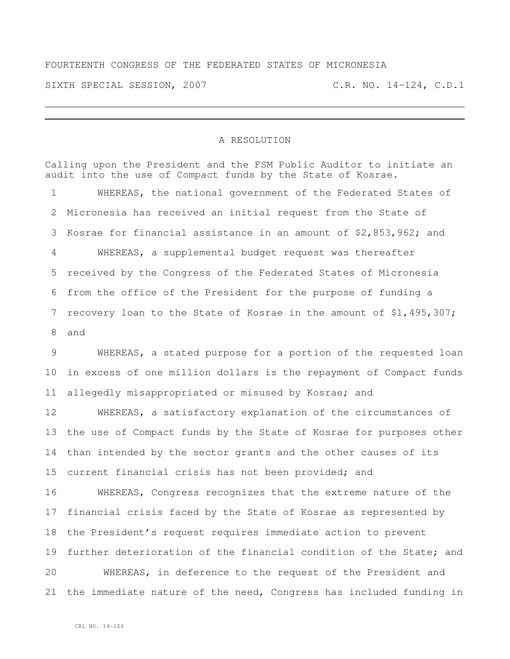## FOURTEENTH CONGRESS OF THE FEDERATED STATES OF MICRONESIA SIXTH SPECIAL SESSION, 2007 C.R. NO. 14-124, C.D.1

## A RESOLUTION

Calling upon the President and the FSM Public Auditor to initiate an audit into the use of Compact funds by the State of Kosrae. WHEREAS, the national government of the Federated States of Micronesia has received an initial request from the State of Kosrae for financial assistance in an amount of \$2,853,962; and WHEREAS, a supplemental budget request was thereafter received by the Congress of the Federated States of Micronesia from the office of the President for the purpose of funding a recovery loan to the State of Kosrae in the amount of \$1,495,307; and WHEREAS, a stated purpose for a portion of the requested loan in excess of one million dollars is the repayment of Compact funds allegedly misappropriated or misused by Kosrae; and WHEREAS, a satisfactory explanation of the circumstances of the use of Compact funds by the State of Kosrae for purposes other than intended by the sector grants and the other causes of its current financial crisis has not been provided; and WHEREAS, Congress recognizes that the extreme nature of the financial crisis faced by the State of Kosrae as represented by the President's request requires immediate action to prevent 19 further deterioration of the financial condition of the State; and WHEREAS, in deference to the request of the President and the immediate nature of the need, Congress has included funding in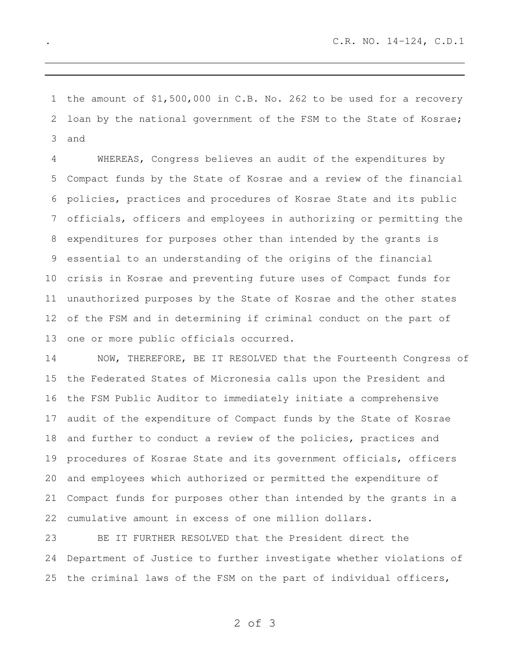the amount of \$1,500,000 in C.B. No. 262 to be used for a recovery loan by the national government of the FSM to the State of Kosrae; and

 WHEREAS, Congress believes an audit of the expenditures by Compact funds by the State of Kosrae and a review of the financial policies, practices and procedures of Kosrae State and its public officials, officers and employees in authorizing or permitting the expenditures for purposes other than intended by the grants is essential to an understanding of the origins of the financial crisis in Kosrae and preventing future uses of Compact funds for unauthorized purposes by the State of Kosrae and the other states of the FSM and in determining if criminal conduct on the part of one or more public officials occurred.

 NOW, THEREFORE, BE IT RESOLVED that the Fourteenth Congress of the Federated States of Micronesia calls upon the President and the FSM Public Auditor to immediately initiate a comprehensive audit of the expenditure of Compact funds by the State of Kosrae and further to conduct a review of the policies, practices and procedures of Kosrae State and its government officials, officers and employees which authorized or permitted the expenditure of Compact funds for purposes other than intended by the grants in a cumulative amount in excess of one million dollars.

 BE IT FURTHER RESOLVED that the President direct the Department of Justice to further investigate whether violations of the criminal laws of the FSM on the part of individual officers,

of 3